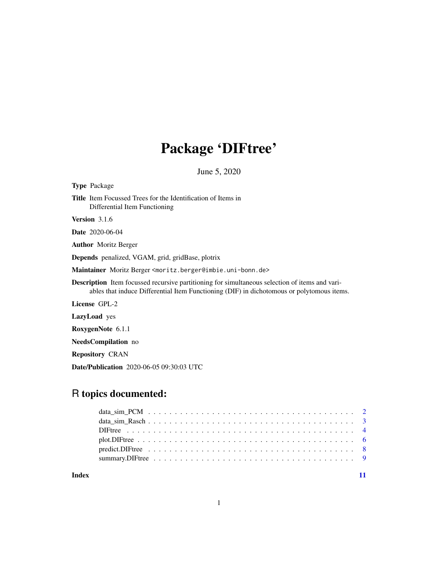## Package 'DIFtree'

June 5, 2020

| <b>Type</b> Package                                                                                                                                                                                |
|----------------------------------------------------------------------------------------------------------------------------------------------------------------------------------------------------|
| <b>Title</b> Item Focussed Trees for the Identification of Items in<br>Differential Item Functioning                                                                                               |
| <b>Version</b> 3.1.6                                                                                                                                                                               |
| <b>Date</b> 2020-06-04                                                                                                                                                                             |
| <b>Author</b> Moritz Berger                                                                                                                                                                        |
| <b>Depends</b> penalized, VGAM, grid, gridBase, plotrix                                                                                                                                            |
| Maintainer Moritz Berger <moritz.berger@imbie.uni-bonn.de></moritz.berger@imbie.uni-bonn.de>                                                                                                       |
| <b>Description</b> Item focussed recursive partitioning for simultaneous selection of items and vari-<br>ables that induce Differential Item Functioning (DIF) in dichotomous or polytomous items. |
| License GPL-2                                                                                                                                                                                      |
| LazyLoad yes                                                                                                                                                                                       |
| RoxygenNote 6.1.1                                                                                                                                                                                  |
| <b>NeedsCompilation</b> no                                                                                                                                                                         |
|                                                                                                                                                                                                    |

Repository CRAN

Date/Publication 2020-06-05 09:30:03 UTC

### R topics documented:

**Index** [11](#page-10-0)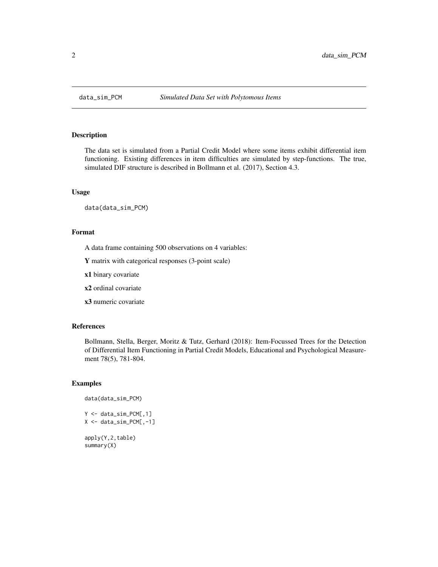<span id="page-1-0"></span>

#### Description

The data set is simulated from a Partial Credit Model where some items exhibit differential item functioning. Existing differences in item difficulties are simulated by step-functions. The true, simulated DIF structure is described in Bollmann et al. (2017), Section 4.3.

#### Usage

data(data\_sim\_PCM)

#### Format

A data frame containing 500 observations on 4 variables:

Y matrix with categorical responses (3-point scale)

x1 binary covariate

x2 ordinal covariate

x3 numeric covariate

#### References

Bollmann, Stella, Berger, Moritz & Tutz, Gerhard (2018): Item-Focussed Trees for the Detection of Differential Item Functioning in Partial Credit Models, Educational and Psychological Measurement 78(5), 781-804.

#### Examples

```
data(data_sim_PCM)
Y <- data_sim_PCM[,1]
X \leftarrow data\_sim\_PCM[, -1]apply(Y,2,table)
summary(X)
```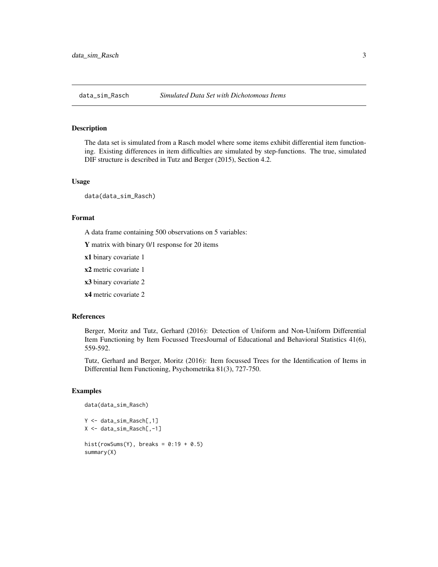<span id="page-2-0"></span>

#### Description

The data set is simulated from a Rasch model where some items exhibit differential item functioning. Existing differences in item difficulties are simulated by step-functions. The true, simulated DIF structure is described in Tutz and Berger (2015), Section 4.2.

#### Usage

data(data\_sim\_Rasch)

#### Format

A data frame containing 500 observations on 5 variables:

Y matrix with binary 0/1 response for 20 items

x1 binary covariate 1

x2 metric covariate 1

x3 binary covariate 2

x4 metric covariate 2

#### References

Berger, Moritz and Tutz, Gerhard (2016): Detection of Uniform and Non-Uniform Differential Item Functioning by Item Focussed TreesJournal of Educational and Behavioral Statistics 41(6), 559-592.

Tutz, Gerhard and Berger, Moritz (2016): Item focussed Trees for the Identification of Items in Differential Item Functioning, Psychometrika 81(3), 727-750.

#### Examples

```
data(data_sim_Rasch)
Y <- data_sim_Rasch[,1]
X <- data_sim_Rasch[,-1]
hist(rowSums(Y), breaks = 0:19 + 0.5)
summary(X)
```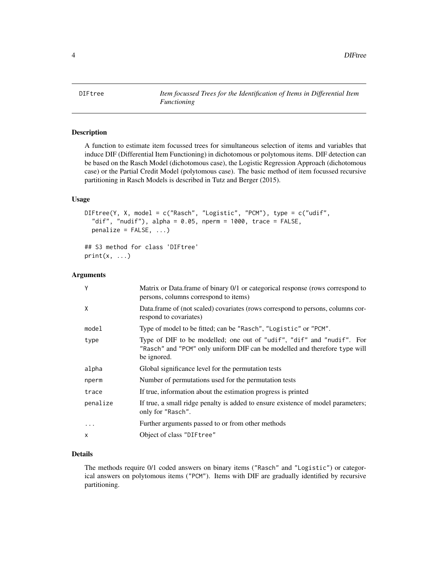<span id="page-3-1"></span><span id="page-3-0"></span>DIFtree *Item focussed Trees for the Identification of Items in Differential Item Functioning*

#### Description

A function to estimate item focussed trees for simultaneous selection of items and variables that induce DIF (Differential Item Functioning) in dichotomous or polytomous items. DIF detection can be based on the Rasch Model (dichotomous case), the Logistic Regression Approach (dichotomous case) or the Partial Credit Model (polytomous case). The basic method of item focussed recursive partitioning in Rasch Models is described in Tutz and Berger (2015).

#### Usage

```
DIFtree(Y, X, model = c("Rasch", "Logistic", "PCM"), type = c("udif",
  "dif", "nudif"), alpha = 0.05, nperm = 1000, trace = FALSE,
 penalize = FALSE, ...)
```
## S3 method for class 'DIFtree'  $print(x, \ldots)$ 

#### Arguments

| Y        | Matrix or Data.frame of binary 0/1 or categorical response (rows correspond to<br>persons, columns correspond to items)                                            |
|----------|--------------------------------------------------------------------------------------------------------------------------------------------------------------------|
| X        | Data frame of (not scaled) covariates (rows correspond to persons, columns cor-<br>respond to covariates)                                                          |
| model    | Type of model to be fitted; can be "Rasch", "Logistic" or "PCM".                                                                                                   |
| type     | Type of DIF to be modelled; one out of "udif", "dif" and "nudif". For<br>"Rasch" and "PCM" only uniform DIF can be modelled and therefore type will<br>be ignored. |
| alpha    | Global significance level for the permutation tests                                                                                                                |
| nperm    | Number of permutations used for the permutation tests                                                                                                              |
| trace    | If true, information about the estimation progress is printed                                                                                                      |
| penalize | If true, a small ridge penalty is added to ensure existence of model parameters;<br>only for "Rasch".                                                              |
|          | Further arguments passed to or from other methods                                                                                                                  |
| X        | Object of class "DIF tree"                                                                                                                                         |
|          |                                                                                                                                                                    |

#### Details

The methods require 0/1 coded answers on binary items ("Rasch" and "Logistic") or categorical answers on polytomous items ("PCM"). Items with DIF are gradually identified by recursive partitioning.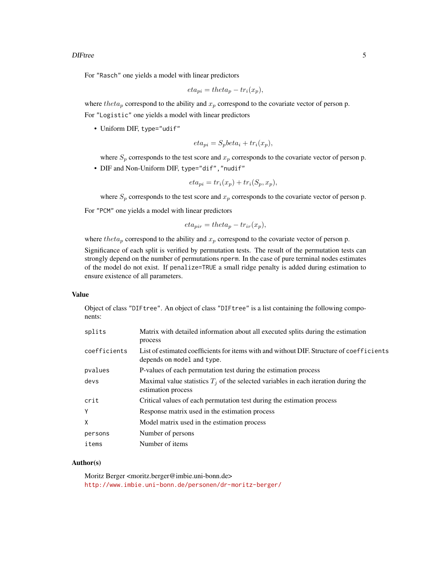#### DIFtree 5

For "Rasch" one yields a model with linear predictors

$$
eta_{pi} = theta_p - tr_i(x_p),
$$

where theta<sub>p</sub> correspond to the ability and  $x_p$  correspond to the covariate vector of person p. For "Logistic" one yields a model with linear predictors

• Uniform DIF, type="udif"

$$
eta_{pi} = S_p beta_i + tr_i(x_p),
$$

where  $S_p$  corresponds to the test score and  $x_p$  corresponds to the covariate vector of person p.

• DIF and Non-Uniform DIF, type="dif","nudif"

$$
eta_{pi} = tr_i(x_p) + tr_i(S_p, x_p),
$$

where  $S_p$  corresponds to the test score and  $x_p$  corresponds to the covariate vector of person p.

For "PCM" one yields a model with linear predictors

$$
eta_{pir} = theta_p - tr_{ir}(x_p),
$$

where theta<sub>p</sub> correspond to the ability and  $x_p$  correspond to the covariate vector of person p.

Significance of each split is verified by permutation tests. The result of the permutation tests can strongly depend on the number of permutations nperm. In the case of pure terminal nodes estimates of the model do not exist. If penalize=TRUE a small ridge penalty is added during estimation to ensure existence of all parameters.

#### Value

Object of class "DIFtree". An object of class "DIFtree" is a list containing the following components:

| splits       | Matrix with detailed information about all executed splits during the estimation<br>process                            |  |
|--------------|------------------------------------------------------------------------------------------------------------------------|--|
| coefficients | List of estimated coefficients for items with and without DIF. Structure of coefficients<br>depends on model and type. |  |
| pvalues      | P-values of each permutation test during the estimation process                                                        |  |
| devs         | Maximal value statistics $T_i$ of the selected variables in each iteration during the<br>estimation process            |  |
| crit         | Critical values of each permutation test during the estimation process                                                 |  |
| Y            | Response matrix used in the estimation process                                                                         |  |
| X            | Model matrix used in the estimation process                                                                            |  |
| persons      | Number of persons                                                                                                      |  |
| items        | Number of items                                                                                                        |  |

#### Author(s)

Moritz Berger <moritz.berger@imbie.uni-bonn.de> <http://www.imbie.uni-bonn.de/personen/dr-moritz-berger/>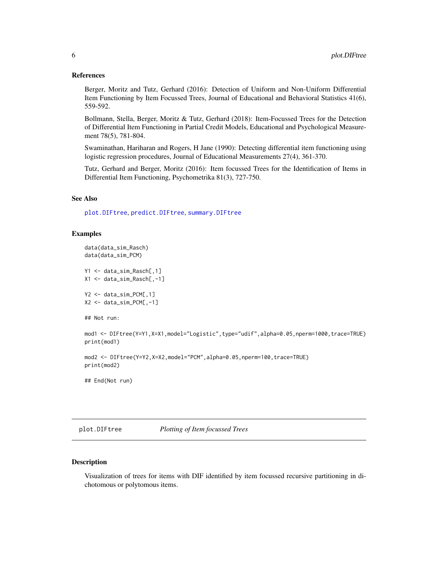#### <span id="page-5-0"></span>References

Berger, Moritz and Tutz, Gerhard (2016): Detection of Uniform and Non-Uniform Differential Item Functioning by Item Focussed Trees, Journal of Educational and Behavioral Statistics 41(6), 559-592.

Bollmann, Stella, Berger, Moritz & Tutz, Gerhard (2018): Item-Focussed Trees for the Detection of Differential Item Functioning in Partial Credit Models, Educational and Psychological Measurement 78(5), 781-804.

Swaminathan, Hariharan and Rogers, H Jane (1990): Detecting differential item functioning using logistic regression procedures, Journal of Educational Measurements 27(4), 361-370.

Tutz, Gerhard and Berger, Moritz (2016): Item focussed Trees for the Identification of Items in Differential Item Functioning, Psychometrika 81(3), 727-750.

#### See Also

[plot.DIFtree](#page-5-1), [predict.DIFtree](#page-7-1), [summary.DIFtree](#page-8-1)

#### Examples

```
data(data_sim_Rasch)
data(data_sim_PCM)
```
Y1 <- data\_sim\_Rasch[,1] X1 <- data\_sim\_Rasch[,-1]

```
Y2 <- data_sim_PCM[,1]
X2 \leq - data_sim_PCM[,-1]
```

```
## Not run:
```

```
mod1 <- DIFtree(Y=Y1,X=X1,model="Logistic",type="udif",alpha=0.05,nperm=1000,trace=TRUE)
print(mod1)
```
mod2 <- DIFtree(Y=Y2,X=X2,model="PCM",alpha=0.05,nperm=100,trace=TRUE) print(mod2)

## End(Not run)

<span id="page-5-1"></span>plot.DIFtree *Plotting of Item focussed Trees*

#### Description

Visualization of trees for items with DIF identified by item focussed recursive partitioning in dichotomous or polytomous items.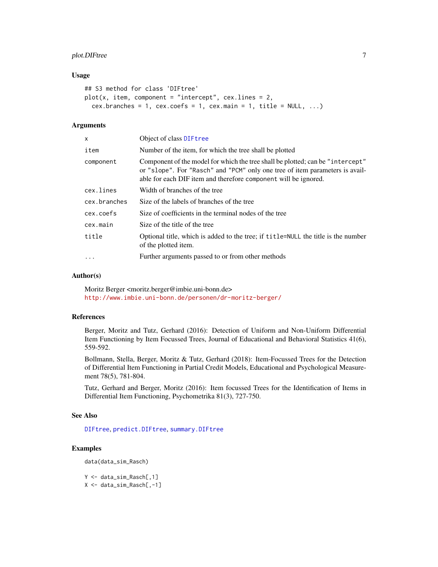### <span id="page-6-0"></span>plot.DIFtree 7

#### Usage

```
## S3 method for class 'DIFtree'
plot(x, item, component = "intercept", cex.lines = 2,cex.branches = 1, cex.coefs = 1, cex.mainloop = 1, title = NULL, ...)
```
#### **Arguments**

| x            | Object of class DIF tree                                                                                                                                                                                                          |
|--------------|-----------------------------------------------------------------------------------------------------------------------------------------------------------------------------------------------------------------------------------|
| item         | Number of the item, for which the tree shall be plotted                                                                                                                                                                           |
| component    | Component of the model for which the tree shall be plotted; can be "intercept"<br>or "slope". For "Rasch" and "PCM" only one tree of item parameters is avail-<br>able for each DIF item and therefore component will be ignored. |
| cex.lines    | Width of branches of the tree                                                                                                                                                                                                     |
| cex.branches | Size of the labels of branches of the tree                                                                                                                                                                                        |
| cex.coefs    | Size of coefficients in the terminal nodes of the tree                                                                                                                                                                            |
| cex.main     | Size of the title of the tree                                                                                                                                                                                                     |
| title        | Optional title, which is added to the tree; if title=NULL the title is the number<br>of the plotted item.                                                                                                                         |
| $\cdot$      | Further arguments passed to or from other methods                                                                                                                                                                                 |

#### Author(s)

Moritz Berger <moritz.berger@imbie.uni-bonn.de> <http://www.imbie.uni-bonn.de/personen/dr-moritz-berger/>

#### References

Berger, Moritz and Tutz, Gerhard (2016): Detection of Uniform and Non-Uniform Differential Item Functioning by Item Focussed Trees, Journal of Educational and Behavioral Statistics 41(6), 559-592.

Bollmann, Stella, Berger, Moritz & Tutz, Gerhard (2018): Item-Focussed Trees for the Detection of Differential Item Functioning in Partial Credit Models, Educational and Psychological Measurement 78(5), 781-804.

Tutz, Gerhard and Berger, Moritz (2016): Item focussed Trees for the Identification of Items in Differential Item Functioning, Psychometrika 81(3), 727-750.

#### See Also

[DIFtree](#page-3-1), [predict.DIFtree](#page-7-1), [summary.DIFtree](#page-8-1)

### Examples

```
data(data_sim_Rasch)
```

```
Y <- data_sim_Rasch[,1]
X <- data_sim_Rasch[,-1]
```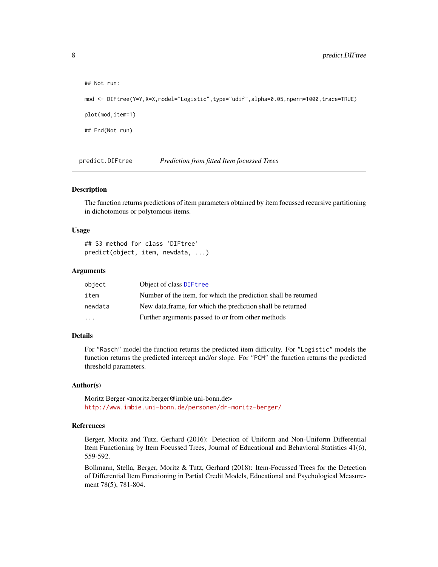```
## Not run:
mod <- DIFtree(Y=Y,X=X,model="Logistic",type="udif",alpha=0.05,nperm=1000,trace=TRUE)
plot(mod,item=1)
## End(Not run)
```
<span id="page-7-1"></span>predict.DIFtree *Prediction from fitted Item focussed Trees*

#### Description

The function returns predictions of item parameters obtained by item focussed recursive partitioning in dichotomous or polytomous items.

#### Usage

```
## S3 method for class 'DIFtree'
predict(object, item, newdata, ...)
```
#### Arguments

| object   | Object of class DIFtree                                        |
|----------|----------------------------------------------------------------|
| item     | Number of the item, for which the prediction shall be returned |
| newdata  | New data.frame, for which the prediction shall be returned     |
| $\cdots$ | Further arguments passed to or from other methods              |

#### Details

For "Rasch" model the function returns the predicted item difficulty. For "Logistic" models the function returns the predicted intercept and/or slope. For "PCM" the function returns the predicted threshold parameters.

#### Author(s)

Moritz Berger <moritz.berger@imbie.uni-bonn.de> <http://www.imbie.uni-bonn.de/personen/dr-moritz-berger/>

#### References

Berger, Moritz and Tutz, Gerhard (2016): Detection of Uniform and Non-Uniform Differential Item Functioning by Item Focussed Trees, Journal of Educational and Behavioral Statistics 41(6), 559-592.

Bollmann, Stella, Berger, Moritz & Tutz, Gerhard (2018): Item-Focussed Trees for the Detection of Differential Item Functioning in Partial Credit Models, Educational and Psychological Measurement 78(5), 781-804.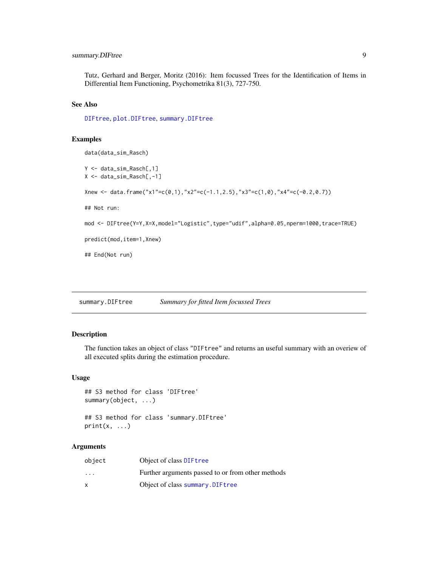### <span id="page-8-0"></span>summary.DIFtree 9

Tutz, Gerhard and Berger, Moritz (2016): Item focussed Trees for the Identification of Items in Differential Item Functioning, Psychometrika 81(3), 727-750.

#### See Also

[DIFtree](#page-3-1), [plot.DIFtree](#page-5-1), [summary.DIFtree](#page-8-1)

#### Examples

```
data(data_sim_Rasch)
Y <- data_sim_Rasch[,1]
X <- data_sim_Rasch[,-1]
Xnew <- data.frame("x1"=c(0,1),"x2"=c(-1.1,2.5),"x3"=c(1,0),"x4"=c(-0.2,0.7))
## Not run:
mod <- DIFtree(Y=Y,X=X,model="Logistic",type="udif",alpha=0.05,nperm=1000,trace=TRUE)
predict(mod,item=1,Xnew)
## End(Not run)
```
<span id="page-8-1"></span>summary.DIFtree *Summary for fitted Item focussed Trees*

#### Description

The function takes an object of class "DIFtree" and returns an useful summary with an overiew of all executed splits during the estimation procedure.

#### Usage

```
## S3 method for class 'DIFtree'
summary(object, ...)
```
## S3 method for class 'summary.DIFtree'  $print(x, \ldots)$ 

#### Arguments

| object                  | Object of class DIF tree                          |
|-------------------------|---------------------------------------------------|
| $\cdot$ $\cdot$ $\cdot$ | Further arguments passed to or from other methods |
|                         | Object of class summary. DIF tree                 |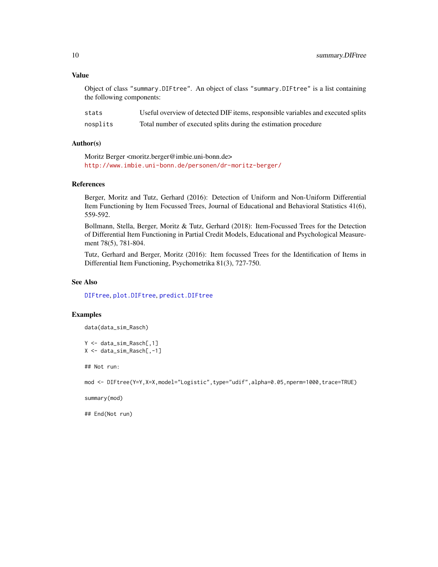#### Value

Object of class "summary.DIFtree". An object of class "summary.DIFtree" is a list containing the following components:

| stats    | Useful overview of detected DIF items, responsible variables and executed splits |
|----------|----------------------------------------------------------------------------------|
| nosplits | Total number of executed splits during the estimation procedure                  |

#### Author(s)

Moritz Berger <moritz.berger@imbie.uni-bonn.de> <http://www.imbie.uni-bonn.de/personen/dr-moritz-berger/>

#### **References**

Berger, Moritz and Tutz, Gerhard (2016): Detection of Uniform and Non-Uniform Differential Item Functioning by Item Focussed Trees, Journal of Educational and Behavioral Statistics 41(6), 559-592.

Bollmann, Stella, Berger, Moritz & Tutz, Gerhard (2018): Item-Focussed Trees for the Detection of Differential Item Functioning in Partial Credit Models, Educational and Psychological Measurement 78(5), 781-804.

Tutz, Gerhard and Berger, Moritz (2016): Item focussed Trees for the Identification of Items in Differential Item Functioning, Psychometrika 81(3), 727-750.

#### See Also

[DIFtree](#page-3-1), [plot.DIFtree](#page-5-1), [predict.DIFtree](#page-7-1)

### Examples

data(data\_sim\_Rasch)

Y <- data\_sim\_Rasch[,1] X <- data\_sim\_Rasch[,-1]

## Not run:

mod <- DIFtree(Y=Y,X=X,model="Logistic",type="udif",alpha=0.05,nperm=1000,trace=TRUE)

summary(mod)

## End(Not run)

<span id="page-9-0"></span>